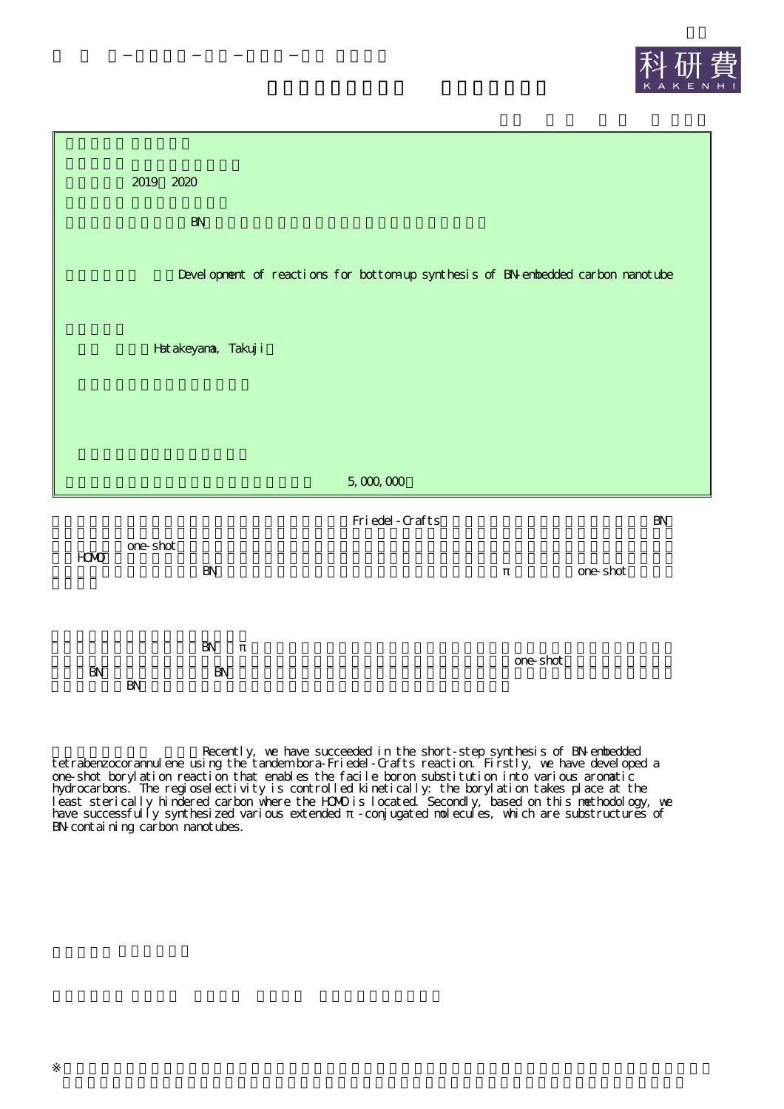



Recently, we have succeeded in the short-step synthesis of BN-embedded tetrabenzocorannulene using the tandem bora-Friedel-Crafts reaction. Firstly, we have developed a one-shot borylation reaction that enables the facile boron substitution into various aromatic hydrocarbons. The regioselectivity is controlled kinetically: the borylation takes place at the least sterically hindered carbon where the HOMO is located. Secondly, based on this methodology, we have successfully synthesized various extended -conjugated molecules, which are substructures of BN-containing carbon nanotubes.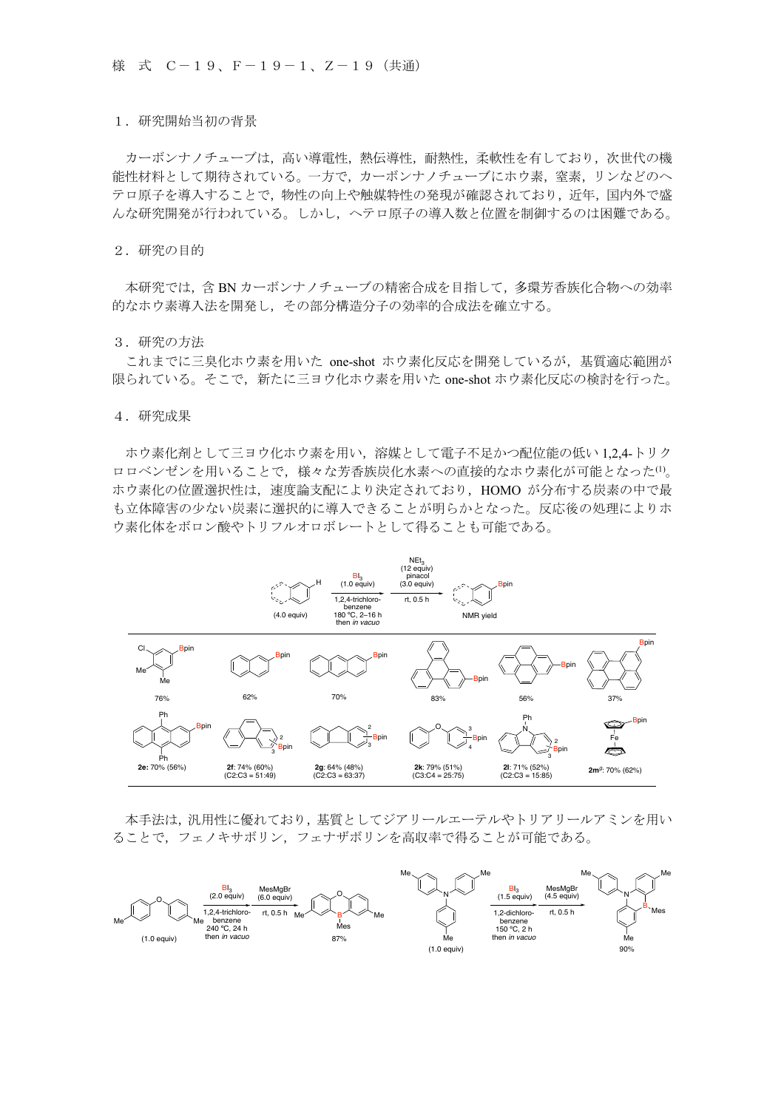## 1.研究開始当初の背景

カーボンナノチューブは、高い導電性,熱伝導性,耐熱性,柔軟性を有しており,次世代の機 能性材料として期待されている。一方で,カーボンナノチューブにホウ素,窒素,リンなどのヘ テロ原子を導入することで,物性の向上や触媒特性の発現が確認されており,近年,国内外で盛 んな研究開発が行われている。しかし,ヘテロ原子の導入数と位置を制御するのは困難である。

2.研究の目的

本研究では,含 BN カーボンナノチューブの精密合成を目指して,多環芳香族化合物への効率 的なホウ素導入法を開発し,その部分構造分子の効率的合成法を確立する。

## 3.研究の方法

 これまでに三臭化ホウ素を用いた one-shot ホウ素化反応を開発しているが,基質適応範囲が 限られている。そこで,新たに三ヨウ化ホウ素を用いた one-shot ホウ素化反応の検討を行った。

## 4.研究成果

ホウ素化剤として三ヨウ化ホウ素を用い,溶媒として電子不足かつ配位能の低い 1,2,4-トリク ロロベンゼンを用いることで、様々な芳香族炭化水素への直接的なホウ素化が可能となった(1)。 ホウ素化の位置選択性は,速度論支配により決定されており,HOMO が分布する炭素の中で最 も立体障害の少ない炭素に選択的に導入できることが明らかとなった。反応後の処理によりホ ウ素化体をボロン酸やトリフルオロボレートとして得ることも可能である。



本手法は,汎用性に優れており,基質としてジアリールエーテルやトリアリールアミンを用い ることで,フェノキサボリン,フェナザボリンを高収率で得ることが可能である。

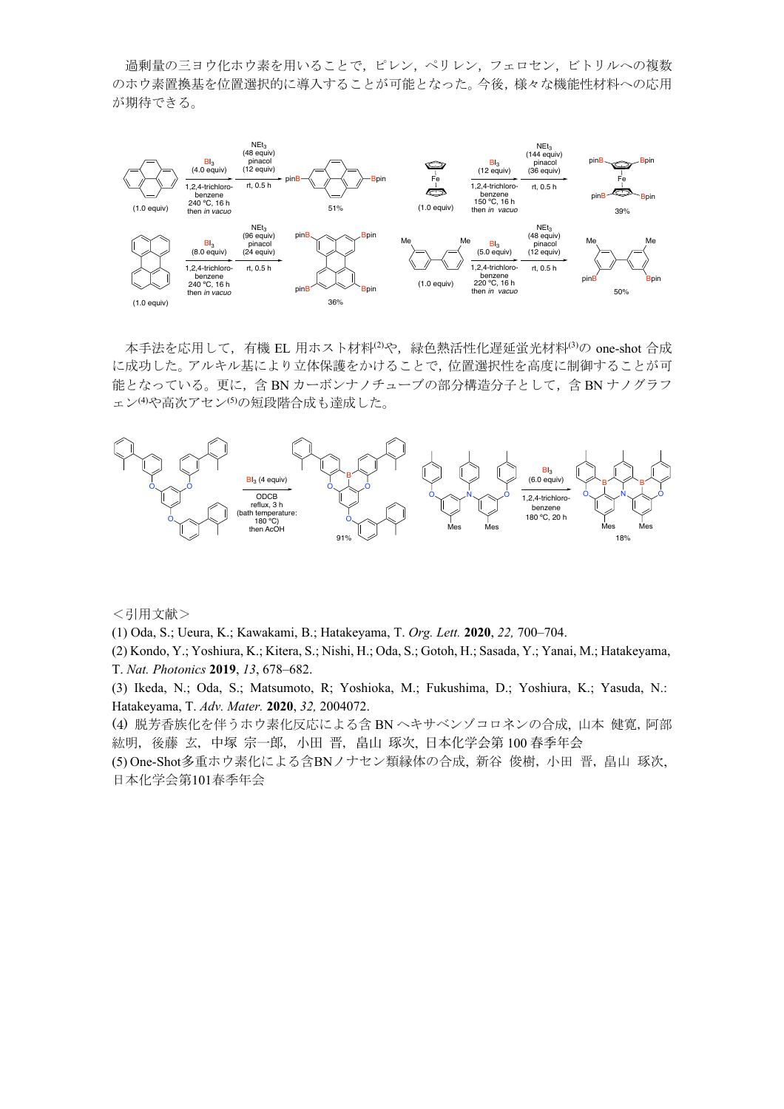過剰量の三ヨウ化ホウ素を用いることで,ピレン,ペリレン,フェロセン,ビトリルへの複数 のホウ素置換基を位置選択的に導入することが可能となった。今後,様々な機能性材料への応用 が期待できる。



本手法を応用して、有機 EL 用ホスト材料<sup>(2)</sup>や、緑色熱活性化遅延蛍光材料<sup>(3)</sup>の one-shot 合成 に成功した。アルキル基により立体保護をかけることで,位置選択性を高度に制御することが可 能となっている。更に,含 BN カーボンナノチューブの部分構造分子として,含 BN ナノグラフ ェン(4)や高次アセン<sup>(5)</sup>の短段階合成も達成した。



<引用文献>

(1) Oda, S.; Ueura, K.; Kawakami, B.; Hatakeyama, T. *Org. Lett.* **2020**, *22,* 700–704.

(2) Kondo, Y.; Yoshiura, K.; Kitera, S.; Nishi, H.; Oda, S.; Gotoh, H.; Sasada, Y.; Yanai, M.; Hatakeyama, T. *Nat. Photonics* **2019**, *13*, 678–682.

(3) Ikeda, N.; Oda, S.; Matsumoto, R; Yoshioka, M.; Fukushima, D.; Yoshiura, K.; Yasuda, N.: Hatakeyama, T. *Adv. Mater.* **2020**, *32,* 2004072.

(4) 脱芳香族化を伴うホウ素化反応による含 BN ヘキサベンゾコロネンの合成, 山本 健寛,阿部 紘明, 後藤 玄, 中塚 宗一郎, 小田 晋, 畠山 琢次, 日本化学会第 100 春季年会

(5) One-Shot多重ホウ素化による含BNノナセン類縁体の合成, 新谷 俊樹,小田 晋,畠山 琢次, 日本化学会第101春季年会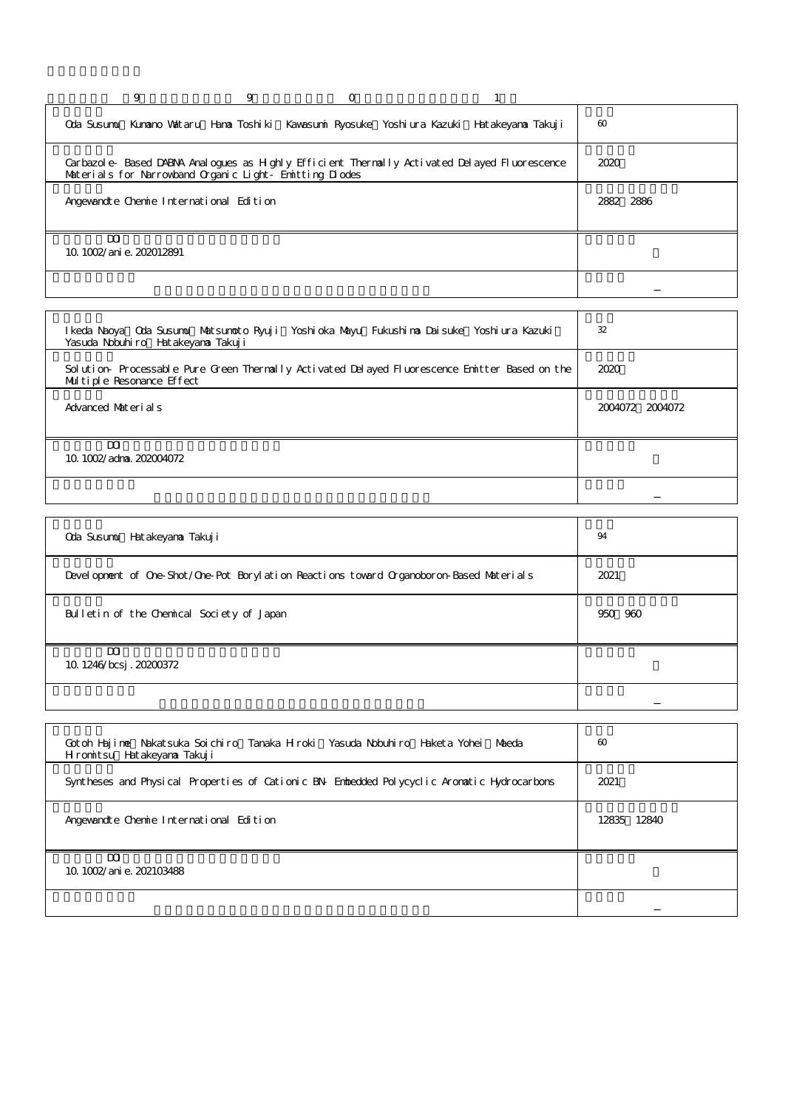|   | 9                                                      | 9 | $\Omega$ |                                                                                              |                       |
|---|--------------------------------------------------------|---|----------|----------------------------------------------------------------------------------------------|-----------------------|
|   |                                                        |   |          | Oda Susumu Kunano Vattaru Hana Toshiki Kavasumi Ryosuke Yoshiura Kazuki Hatakeyana Takuji    | $\boldsymbol{\omega}$ |
|   | Materials for Narrowband Organic Light Emitting Diodes |   |          | Carbazole Based DABNA Analogues as Highly Efficient Thermally Activated Delayed Fluorescence | 2020                  |
|   | Angewandte Chemie International Edition                |   |          |                                                                                              | 2882 2886             |
| m | 10 1002/ani e. 202012891                               |   |          |                                                                                              |                       |
|   |                                                        |   |          |                                                                                              |                       |

| I keda Naoya Oda Susumu Matsumoto Ryuji Yoshi oka Mayu Fukushi na Daisuke Yoshi ura Kazuki<br>Yasuda Nobuhiro Hatakeyana Takuji | 32              |
|---------------------------------------------------------------------------------------------------------------------------------|-----------------|
| Solution Processable Pure Green Thermally Activated Delayed Fluorescence Emitter Based on the<br>Multiple Resonance Effect      | 2020            |
| Advanced Materials                                                                                                              | 2004072 2004072 |
| m<br>$10.102$ /adma. $20204072$                                                                                                 |                 |
|                                                                                                                                 |                 |

| Oda Susumu Hatakeyana Takuji                                                            | 94      |
|-----------------------------------------------------------------------------------------|---------|
| Development of One-Shot/One-Pot Borylation Reactions toward Organoboron-Based Materials | 2021    |
| Bulletin of the Chemical Society of Japan                                               | 950 960 |
| $\overline{\mathbf{M}}$<br>10 1246/bcsj. 20200372                                       |         |
|                                                                                         |         |

<u> 1989 - Johann Stein, marwolaethau a bhann an t-Amhain Aonaichte ann an t-Amhain Aonaichte ann an t-Amhain Aon</u>

<u> 1980 - Johann Stoff, fransk politik (f. 1980)</u>

| Gotoh Hajime Nakatsuka Soichiro Tanaka Hiroki Yasuda Nobuhiro Haketa Yohei Maeda<br>Hromitsu Hatakeyana Takuji | $\infty$    |
|----------------------------------------------------------------------------------------------------------------|-------------|
| Syntheses and Physical Properties of Cationic BN Enhedded Polycyclic Aronatic Hydrocarbons                     | 2021        |
| Angewandte Chemie International Edition                                                                        | 12835 12840 |
| m<br>10.1002/ani e. 202103488                                                                                  |             |
|                                                                                                                |             |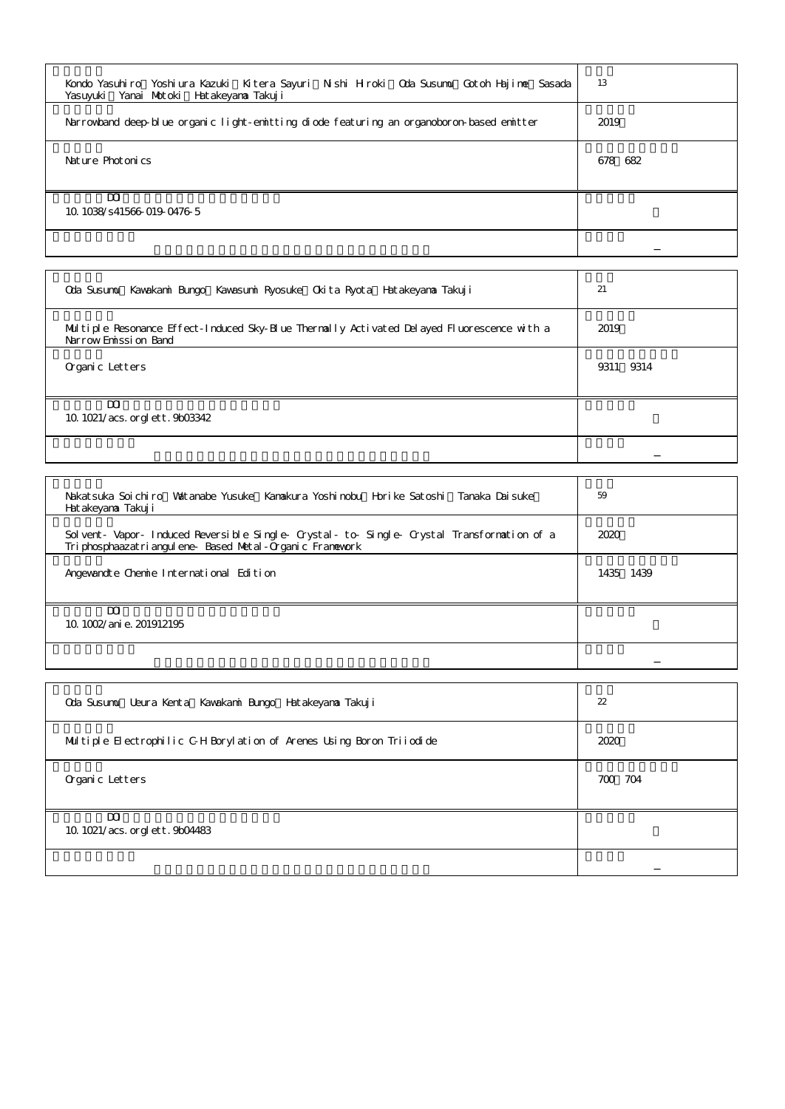| Kondo Yasuhiro Yoshiura Kazuki Kitera Sayuri Nishi Hiroki Qda Susumu Gotoh Hajime Sasada  <br>Yasuvuki Yanai Motoki Hatakeyana Takuji | 13      |
|---------------------------------------------------------------------------------------------------------------------------------------|---------|
| Narrowband deep blue organic light-emitting diode featuring an organoboron-based emitter                                              | 2019    |
| Nature Photonics                                                                                                                      | 678 682 |
| m<br>10 1038/s41566 019 0476 5                                                                                                        |         |
|                                                                                                                                       |         |

| Oda Susumu Kavakani Bungo Kavasumi Ryosuke Okita Ryota Hatakeyana Takuji                                           | 21        |
|--------------------------------------------------------------------------------------------------------------------|-----------|
| Multiple Resonance Effect-Induced Sky-Elue Thermally Activated Delayed Fluorescence with a<br>Narrow Enission Band | 2019      |
| Organic Letters                                                                                                    | 9311 9314 |
| m<br>10 1021/acs. org lett. 9b03342                                                                                |           |
|                                                                                                                    |           |
|                                                                                                                    |           |

| Nakatsuka Soichiro Watanabe Yusuke Kanakura Yoshimbu Horike Satoshi Tanaka Daisuke<br>Hatakeyana Takuji                                         | 59        |
|-------------------------------------------------------------------------------------------------------------------------------------------------|-----------|
| Solvent Vapor Induced Reversible Single Crystal to Single Crystal Transformation of a<br>Triphosphaazatriangulene Based Metal-Organic Framework | 2020      |
| Angewandte Chemie International Edition                                                                                                         | 1435 1439 |
| m<br>10 1002/ani e. 201912195                                                                                                                   |           |
|                                                                                                                                                 |           |

| Oda Susumu Ueura Kenta Kawakani Bungo Hatakeyana Takuji              | 22      |
|----------------------------------------------------------------------|---------|
| Multiple Electrophilic GH Borylation of Arenes Using Boron Triiodide | 2020    |
| Organic Letters                                                      | 700 704 |
| $\mathbf{m}$<br>10 1021/acs. orglett. 9b04483                        |         |
|                                                                      |         |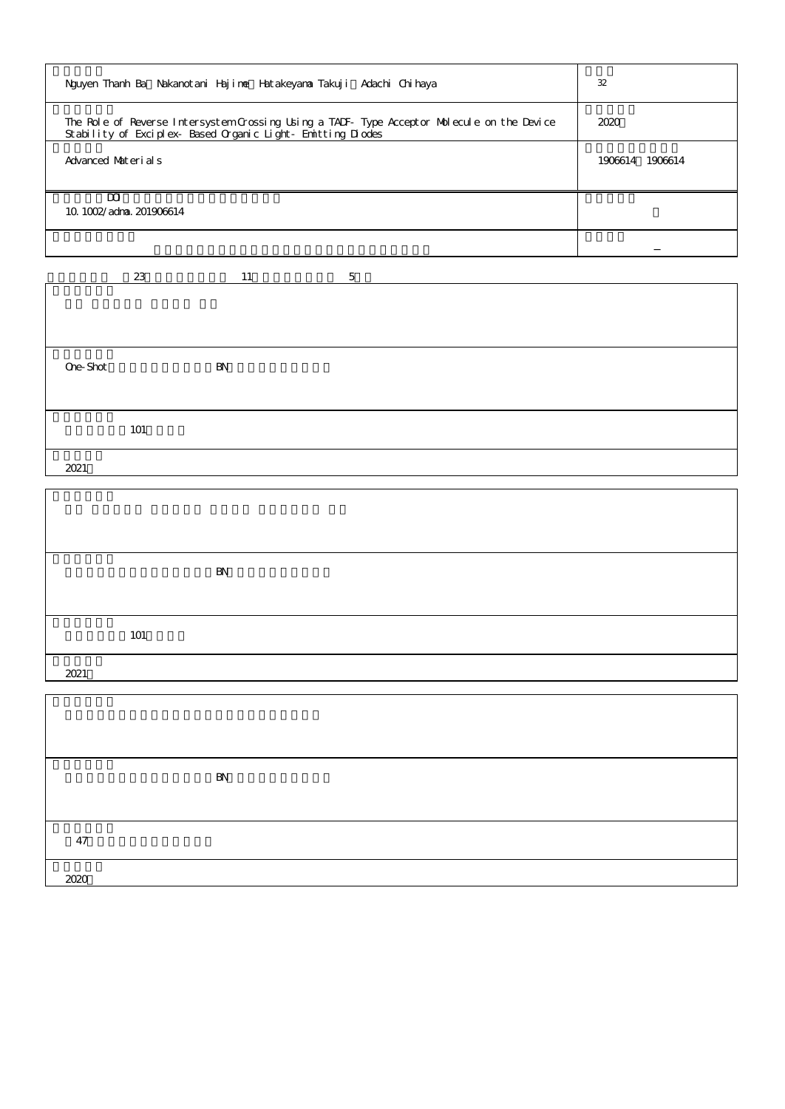| Nguyen Thanh Ba Nakanotani Hajime Hatakeyama Takuji Adachi Chihaya                                                                                      | 32              |
|---------------------------------------------------------------------------------------------------------------------------------------------------------|-----------------|
| The Role of Reverse Intersystem Crossing Using a TADF Type Acceptor Molecule on the Device<br>Stability of Exciplex Based Organic Light Emitting Diodes | 2020            |
| Advanced Materials                                                                                                                                      | 1906614 1906614 |
| m<br>$10.102$ /adma. 201906614                                                                                                                          |                 |
|                                                                                                                                                         |                 |

|          | 23  | 11 | $\overline{5}$ |
|----------|-----|----|----------------|
|          |     |    |                |
|          |     |    |                |
|          |     |    |                |
|          |     |    |                |
|          |     |    |                |
|          |     |    |                |
| Ore-Shot |     | BN |                |
|          |     |    |                |
|          |     |    |                |
|          |     |    |                |
|          | 101 |    |                |
|          |     |    |                |
|          |     |    |                |
| 2021     |     |    |                |
|          |     |    |                |

Г

|      |     | BN |  |  |
|------|-----|----|--|--|
|      |     |    |  |  |
|      | 101 |    |  |  |
| 2021 |     |    |  |  |
|      |     |    |  |  |

|      | BN |
|------|----|
|      |    |
| 47   |    |
| 2020 |    |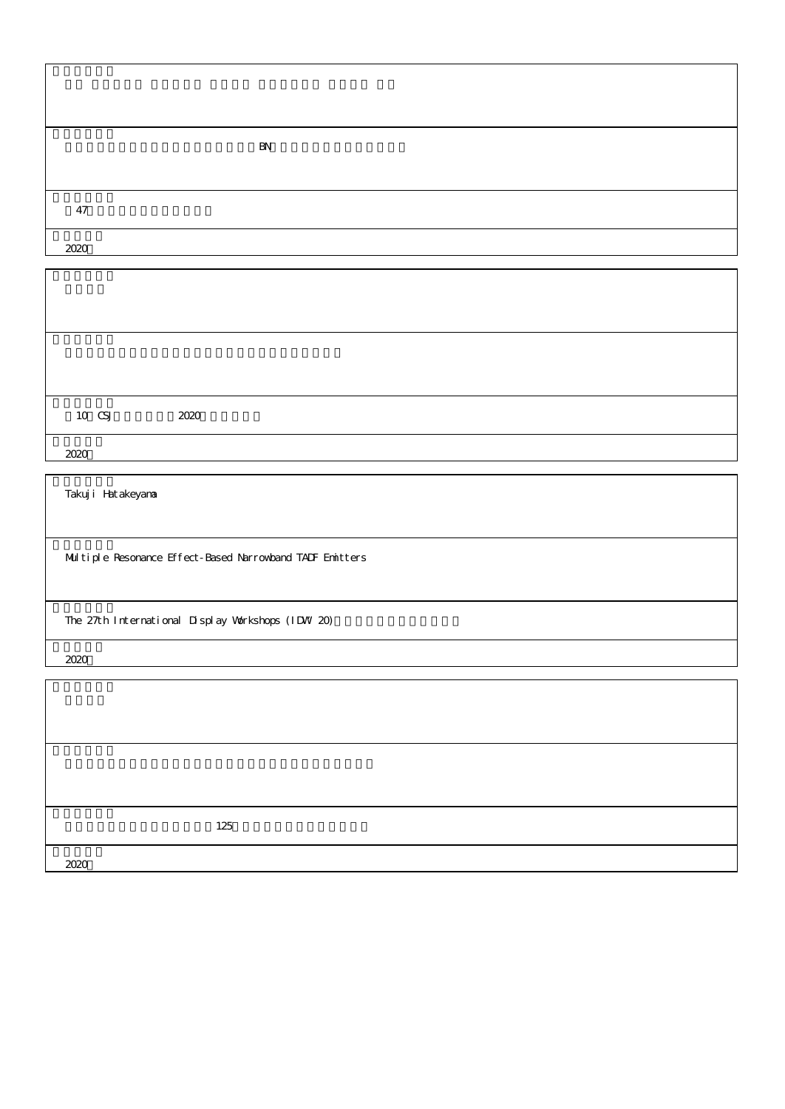|      | BN |
|------|----|
|      |    |
| 47   |    |
| 2020 |    |

| $10$ CSJ | 2020 |  |  |  |
|----------|------|--|--|--|
| 2020     |      |  |  |  |

Takuji Hatakeyama

Multiple Resonance Effect-Based Narrowband TADF Emitters

The 27th International Display Workshops (IDW 20)

2020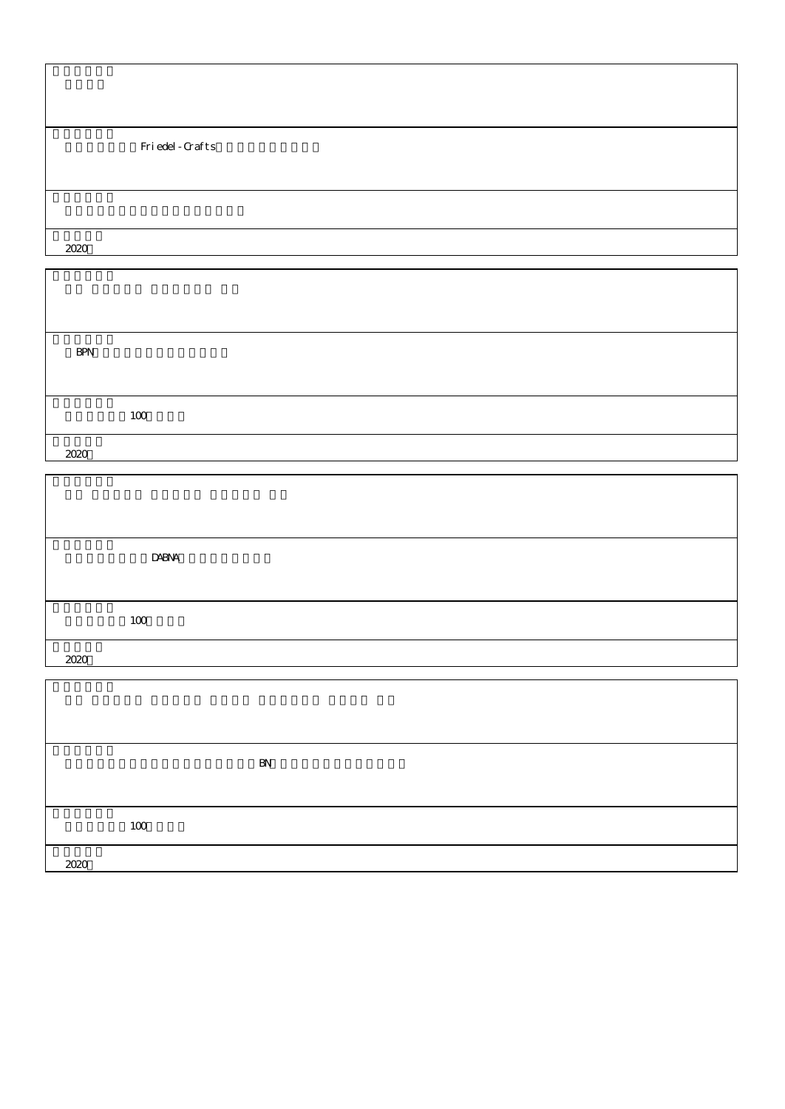|      | Friedel-Grafts |
|------|----------------|
|      |                |
|      |                |
| 2020 |                |

 $\overline{\mathbf{1}}$ 

| <b>BPN</b> |     |  |  |  |
|------------|-----|--|--|--|
|            |     |  |  |  |
|            | 100 |  |  |  |
| 2020       |     |  |  |  |

|      | <b>DABNA</b> |
|------|--------------|
|      |              |
|      | 100          |
| 2020 |              |

|      | BN |  |
|------|----|--|
|      |    |  |
| 100  |    |  |
| 2020 |    |  |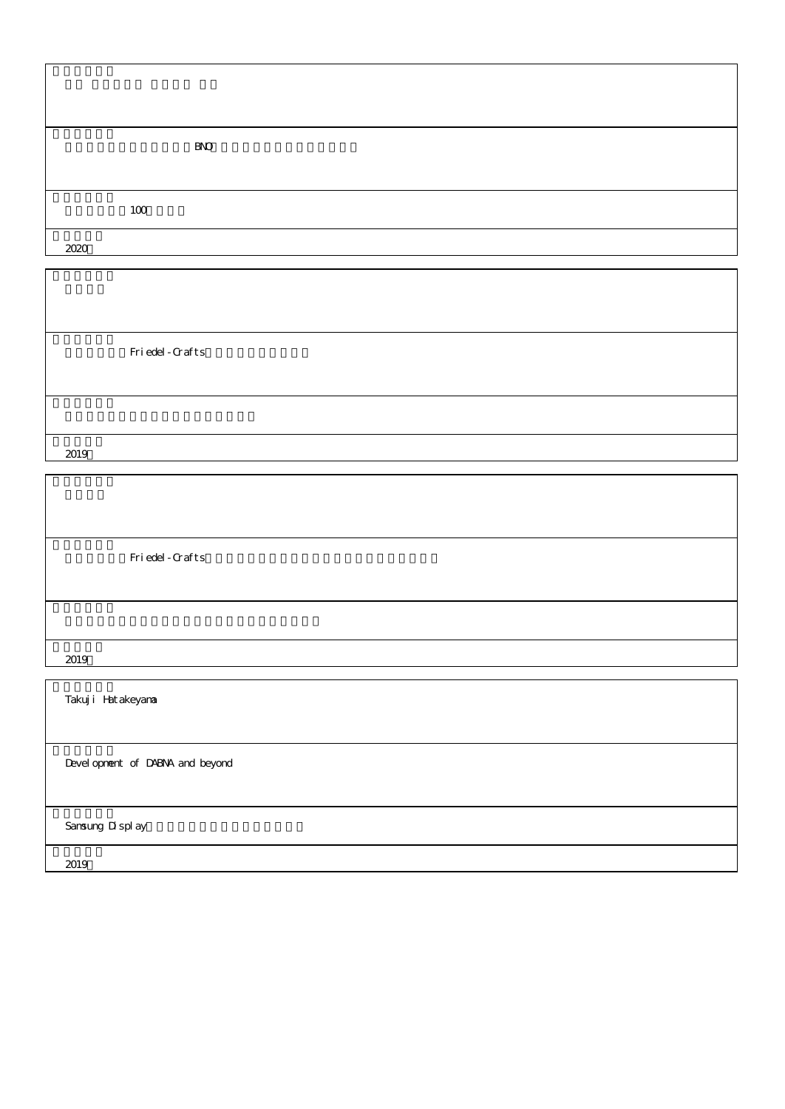|      | $B\!N\!O$ |
|------|-----------|
|      |           |
| 100  |           |
| 2020 |           |

٦

Friedel-Crafts

2019

 $\overline{\phantom{a}}$ 

Friedel-Crafts

2019

Takuji Hatakeyama

Development of DABNA and beyond

Samsung Display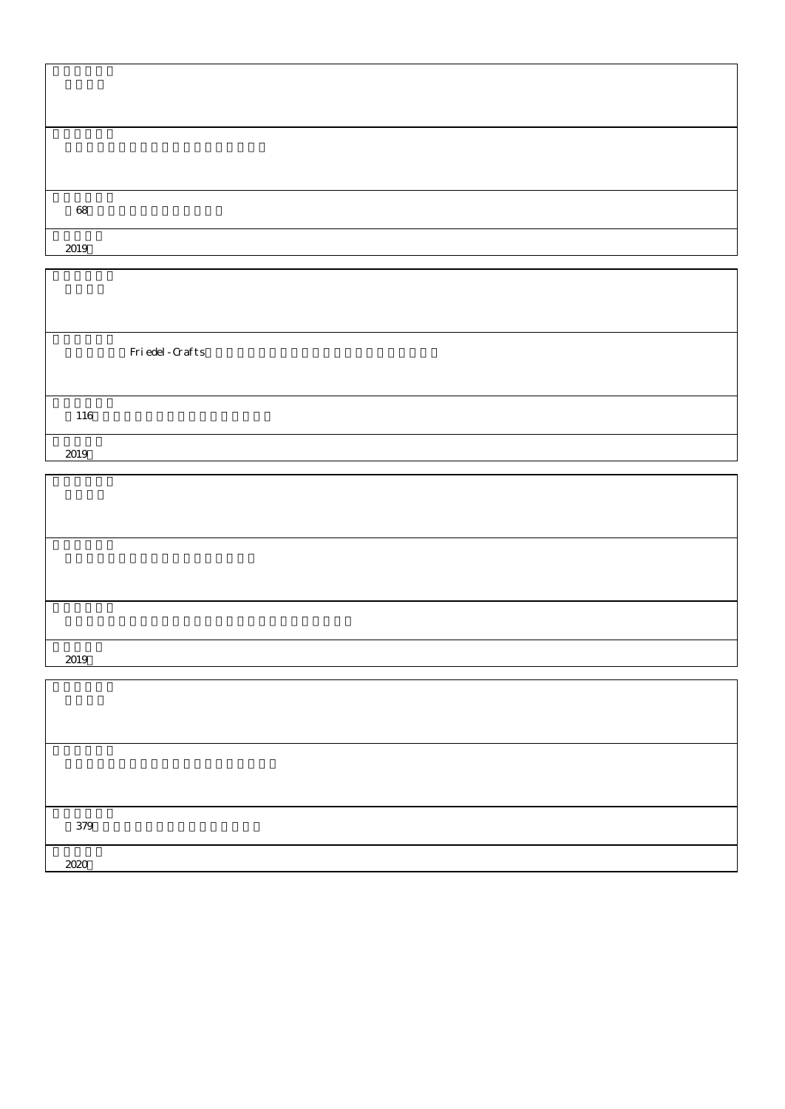| 68   |  |  |
|------|--|--|
|      |  |  |
| 2019 |  |  |

Friedel-Crafts

| 2019 |  |
|------|--|

| 379  |  |  |
|------|--|--|
| 2020 |  |  |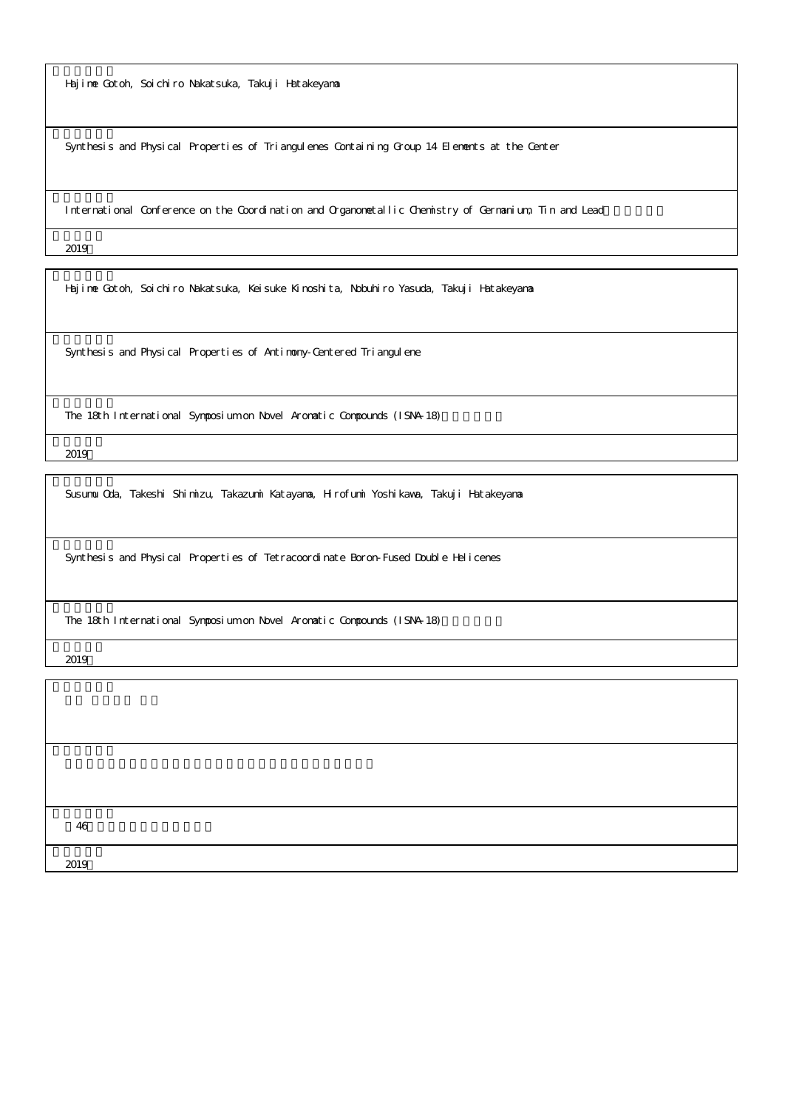Hajime Gotoh, Soichiro Nakatsuka, Takuji Hatakeyama

Synthesis and Physical Properties of Triangulenes Containing Group 14 Elements at the Center

International Conference on the Coordination and Organometallic Chemistry of Germanium, Tin and Lead

2019

Hajime Gotoh, Soichiro Nakatsuka, Keisuke Kinoshita, Nobuhiro Yasuda, Takuji Hatakeyama

Synthesis and Physical Properties of Antimony-Centered Triangulene

The 18th International Symposium on Novel Aromatic Compounds (ISNA-18)

2019

Susumu Oda, Takeshi Shimizu, Takazumi Katayama, Hirofumi Yoshikawa, Takuji Hatakeyama

Synthesis and Physical Properties of Tetracoordinate Boron-Fused Double Helicenes

The 18th International Symposium on Novel Aromatic Compounds (ISNA-18)

2019